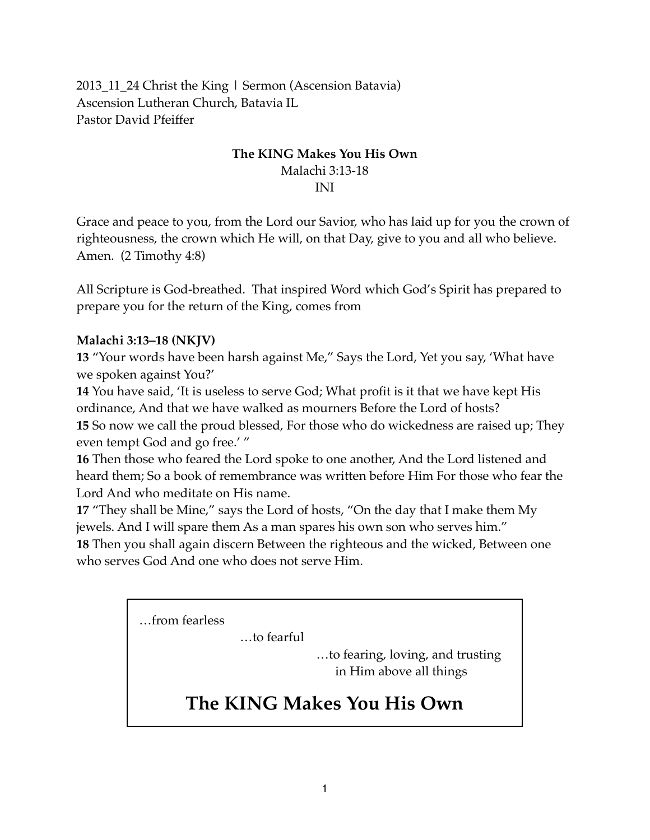2013\_11\_24 Christ the King | Sermon (Ascension Batavia) Ascension Lutheran Church, Batavia IL Pastor David Pfeiffer

#### **The KING Makes You His Own** Malachi 3:13-18 INI

Grace and peace to you, from the Lord our Savior, who has laid up for you the crown of righteousness, the crown which He will, on that Day, give to you and all who believe. Amen. (2 Timothy 4:8)

All Scripture is God-breathed. That inspired Word which God's Spirit has prepared to prepare you for the return of the King, comes from

## **Malachi 3:13–18 (NKJV)**

**13** "Your words have been harsh against Me," Says the Lord, Yet you say, 'What have we spoken against You?'

**14** You have said, 'It is useless to serve God; What profit is it that we have kept His ordinance, And that we have walked as mourners Before the Lord of hosts? **15** So now we call the proud blessed, For those who do wickedness are raised up; They even tempt God and go free.' "

**16** Then those who feared the Lord spoke to one another, And the Lord listened and heard them; So a book of remembrance was written before Him For those who fear the Lord And who meditate on His name.

**17** "They shall be Mine," says the Lord of hosts, "On the day that I make them My jewels. And I will spare them As a man spares his own son who serves him." **18** Then you shall again discern Between the righteous and the wicked, Between one who serves God And one who does not serve Him.

…from fearless

…to fearful

…to fearing, loving, and trusting in Him above all things

# **The KING Makes You His Own**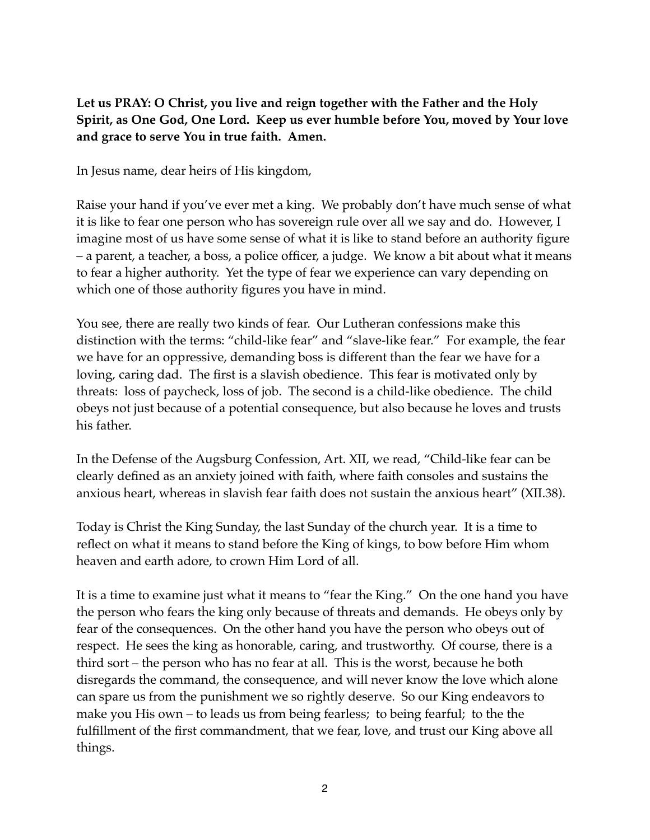# **Let us PRAY: O Christ, you live and reign together with the Father and the Holy Spirit, as One God, One Lord. Keep us ever humble before You, moved by Your love and grace to serve You in true faith. Amen.**

In Jesus name, dear heirs of His kingdom,

Raise your hand if you've ever met a king. We probably don't have much sense of what it is like to fear one person who has sovereign rule over all we say and do. However, I imagine most of us have some sense of what it is like to stand before an authority figure – a parent, a teacher, a boss, a police officer, a judge. We know a bit about what it means to fear a higher authority. Yet the type of fear we experience can vary depending on which one of those authority figures you have in mind.

You see, there are really two kinds of fear. Our Lutheran confessions make this distinction with the terms: "child-like fear" and "slave-like fear." For example, the fear we have for an oppressive, demanding boss is different than the fear we have for a loving, caring dad. The first is a slavish obedience. This fear is motivated only by threats: loss of paycheck, loss of job. The second is a child-like obedience. The child obeys not just because of a potential consequence, but also because he loves and trusts his father.

In the Defense of the Augsburg Confession, Art. XII, we read, "Child-like fear can be clearly defined as an anxiety joined with faith, where faith consoles and sustains the anxious heart, whereas in slavish fear faith does not sustain the anxious heart" (XII.38).

Today is Christ the King Sunday, the last Sunday of the church year. It is a time to reflect on what it means to stand before the King of kings, to bow before Him whom heaven and earth adore, to crown Him Lord of all.

It is a time to examine just what it means to "fear the King." On the one hand you have the person who fears the king only because of threats and demands. He obeys only by fear of the consequences. On the other hand you have the person who obeys out of respect. He sees the king as honorable, caring, and trustworthy. Of course, there is a third sort – the person who has no fear at all. This is the worst, because he both disregards the command, the consequence, and will never know the love which alone can spare us from the punishment we so rightly deserve. So our King endeavors to make you His own – to leads us from being fearless; to being fearful; to the the fulfillment of the first commandment, that we fear, love, and trust our King above all things.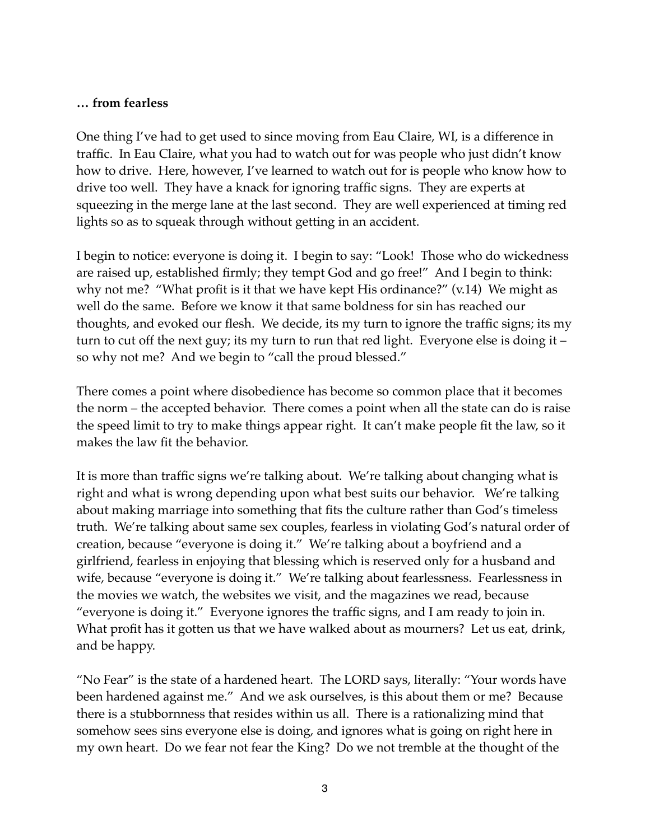#### **… from fearless**

One thing I've had to get used to since moving from Eau Claire, WI, is a difference in traffic. In Eau Claire, what you had to watch out for was people who just didn't know how to drive. Here, however, I've learned to watch out for is people who know how to drive too well. They have a knack for ignoring traffic signs. They are experts at squeezing in the merge lane at the last second. They are well experienced at timing red lights so as to squeak through without getting in an accident.

I begin to notice: everyone is doing it. I begin to say: "Look! Those who do wickedness are raised up, established firmly; they tempt God and go free!" And I begin to think: why not me? "What profit is it that we have kept His ordinance?" (v.14) We might as well do the same. Before we know it that same boldness for sin has reached our thoughts, and evoked our flesh. We decide, its my turn to ignore the traffic signs; its my turn to cut off the next guy; its my turn to run that red light. Everyone else is doing it – so why not me? And we begin to "call the proud blessed."

There comes a point where disobedience has become so common place that it becomes the norm – the accepted behavior. There comes a point when all the state can do is raise the speed limit to try to make things appear right. It can't make people fit the law, so it makes the law fit the behavior.

It is more than traffic signs we're talking about. We're talking about changing what is right and what is wrong depending upon what best suits our behavior. We're talking about making marriage into something that fits the culture rather than God's timeless truth. We're talking about same sex couples, fearless in violating God's natural order of creation, because "everyone is doing it." We're talking about a boyfriend and a girlfriend, fearless in enjoying that blessing which is reserved only for a husband and wife, because "everyone is doing it." We're talking about fearlessness. Fearlessness in the movies we watch, the websites we visit, and the magazines we read, because "everyone is doing it." Everyone ignores the traffic signs, and I am ready to join in. What profit has it gotten us that we have walked about as mourners? Let us eat, drink, and be happy.

"No Fear" is the state of a hardened heart. The LORD says, literally: "Your words have been hardened against me." And we ask ourselves, is this about them or me? Because there is a stubbornness that resides within us all. There is a rationalizing mind that somehow sees sins everyone else is doing, and ignores what is going on right here in my own heart. Do we fear not fear the King? Do we not tremble at the thought of the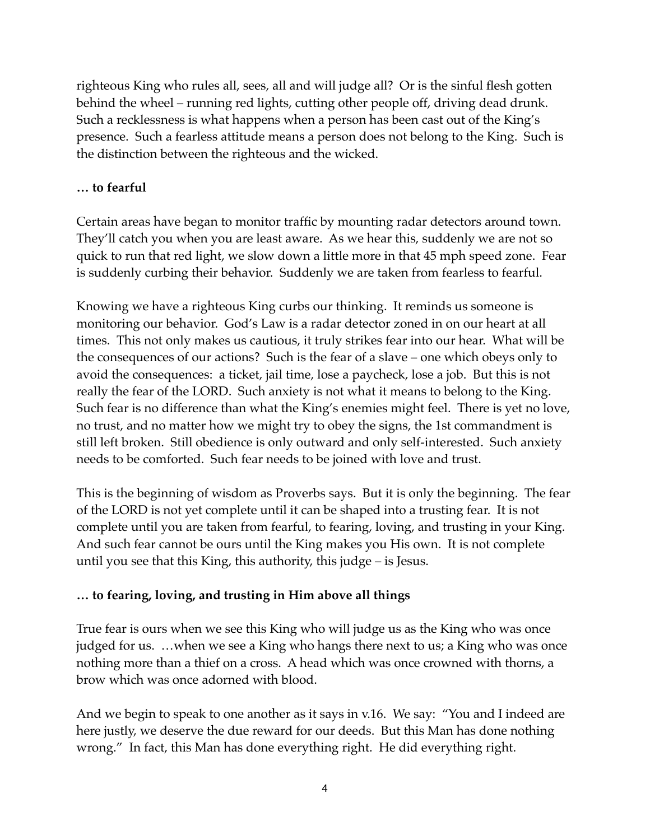righteous King who rules all, sees, all and will judge all? Or is the sinful flesh gotten behind the wheel – running red lights, cutting other people off, driving dead drunk. Such a recklessness is what happens when a person has been cast out of the King's presence. Such a fearless attitude means a person does not belong to the King. Such is the distinction between the righteous and the wicked.

### **… to fearful**

Certain areas have began to monitor traffic by mounting radar detectors around town. They'll catch you when you are least aware. As we hear this, suddenly we are not so quick to run that red light, we slow down a little more in that 45 mph speed zone. Fear is suddenly curbing their behavior. Suddenly we are taken from fearless to fearful.

Knowing we have a righteous King curbs our thinking. It reminds us someone is monitoring our behavior. God's Law is a radar detector zoned in on our heart at all times. This not only makes us cautious, it truly strikes fear into our hear. What will be the consequences of our actions? Such is the fear of a slave – one which obeys only to avoid the consequences: a ticket, jail time, lose a paycheck, lose a job. But this is not really the fear of the LORD. Such anxiety is not what it means to belong to the King. Such fear is no difference than what the King's enemies might feel. There is yet no love, no trust, and no matter how we might try to obey the signs, the 1st commandment is still left broken. Still obedience is only outward and only self-interested. Such anxiety needs to be comforted. Such fear needs to be joined with love and trust.

This is the beginning of wisdom as Proverbs says. But it is only the beginning. The fear of the LORD is not yet complete until it can be shaped into a trusting fear. It is not complete until you are taken from fearful, to fearing, loving, and trusting in your King. And such fear cannot be ours until the King makes you His own. It is not complete until you see that this King, this authority, this judge – is Jesus.

## **… to fearing, loving, and trusting in Him above all things**

True fear is ours when we see this King who will judge us as the King who was once judged for us. …when we see a King who hangs there next to us; a King who was once nothing more than a thief on a cross. A head which was once crowned with thorns, a brow which was once adorned with blood.

And we begin to speak to one another as it says in v.16. We say: "You and I indeed are here justly, we deserve the due reward for our deeds. But this Man has done nothing wrong." In fact, this Man has done everything right. He did everything right.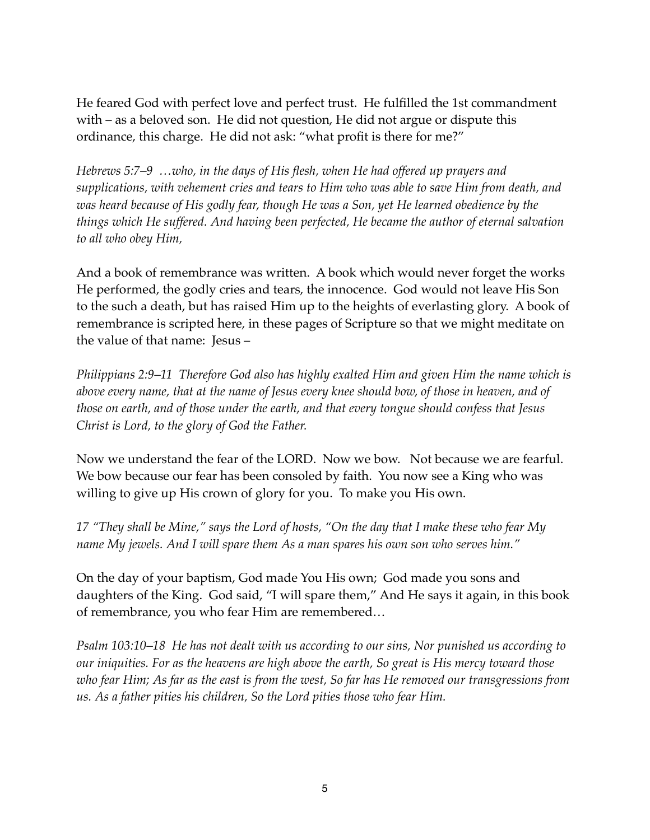He feared God with perfect love and perfect trust. He fulfilled the 1st commandment with – as a beloved son. He did not question, He did not argue or dispute this ordinance, this charge. He did not ask: "what profit is there for me?"

*Hebrews 5:7–9 …who, in the days of His flesh, when He had offered up prayers and supplications, with vehement cries and tears to Him who was able to save Him from death, and was heard because of His godly fear, though He was a Son, yet He learned obedience by the things which He suffered. And having been perfected, He became the author of eternal salvation to all who obey Him,*

And a book of remembrance was written. A book which would never forget the works He performed, the godly cries and tears, the innocence. God would not leave His Son to the such a death, but has raised Him up to the heights of everlasting glory. A book of remembrance is scripted here, in these pages of Scripture so that we might meditate on the value of that name: Jesus –

*Philippians 2:9–11 Therefore God also has highly exalted Him and given Him the name which is above every name, that at the name of Jesus every knee should bow, of those in heaven, and of those on earth, and of those under the earth, and that every tongue should confess that Jesus Christ is Lord, to the glory of God the Father.* 

Now we understand the fear of the LORD. Now we bow. Not because we are fearful. We bow because our fear has been consoled by faith. You now see a King who was willing to give up His crown of glory for you. To make you His own.

*17 "They shall be Mine," says the Lord of hosts, "On the day that I make these who fear My name My jewels. And I will spare them As a man spares his own son who serves him."* 

On the day of your baptism, God made You His own; God made you sons and daughters of the King. God said, "I will spare them," And He says it again, in this book of remembrance, you who fear Him are remembered…

*Psalm 103:10–18 He has not dealt with us according to our sins, Nor punished us according to our iniquities. For as the heavens are high above the earth, So great is His mercy toward those who fear Him; As far as the east is from the west, So far has He removed our transgressions from us. As a father pities his children, So the Lord pities those who fear Him.*